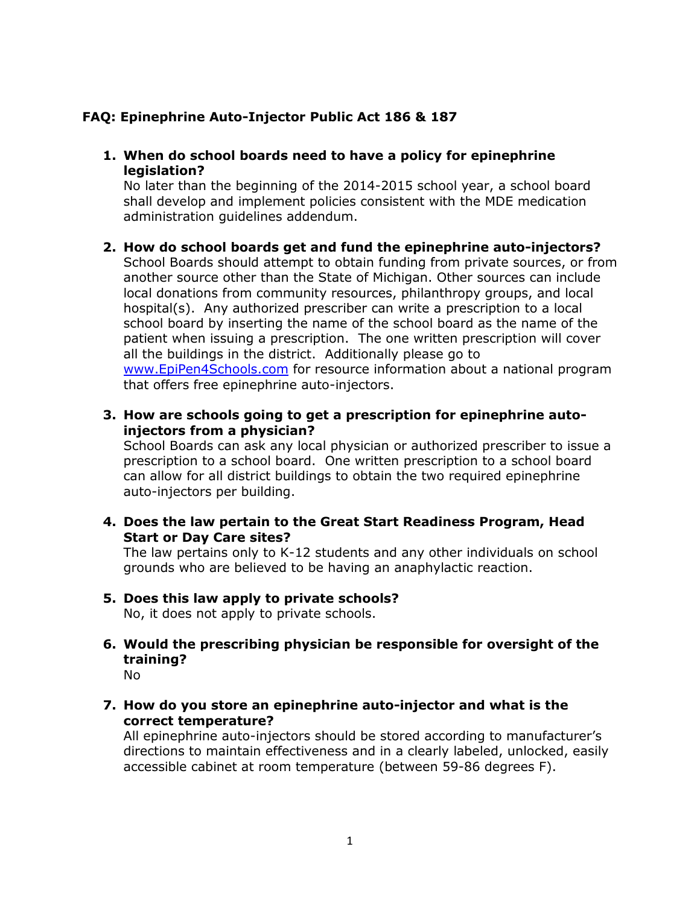## **FAQ: Epinephrine Auto-Injector Public Act 186 & 187**

**1. When do school boards need to have a policy for epinephrine legislation?** 

No later than the beginning of the 2014-2015 school year, a school board shall develop and implement policies consistent with the MDE medication administration guidelines addendum.

- **2. How do school boards get and fund the epinephrine auto-injectors?**  School Boards should attempt to obtain funding from private sources, or from another source other than the State of Michigan. Other sources can include local donations from community resources, philanthropy groups, and local hospital(s). Any authorized prescriber can write a prescription to a local school board by inserting the name of the school board as the name of the patient when issuing a prescription. The one written prescription will cover all the buildings in the district. Additionally please go to [www.EpiPen4Schools.com](http://www.epipen4schools.com/) for resource information about a national program that offers free epinephrine auto-injectors.
- **3. How are schools going to get a prescription for epinephrine autoinjectors from a physician?**

School Boards can ask any local physician or authorized prescriber to issue a prescription to a school board. One written prescription to a school board can allow for all district buildings to obtain the two required epinephrine auto-injectors per building.

**4. Does the law pertain to the Great Start Readiness Program, Head Start or Day Care sites?** 

The law pertains only to K-12 students and any other individuals on school grounds who are believed to be having an anaphylactic reaction.

- **5. Does this law apply to private schools?** No, it does not apply to private schools.
- **6. Would the prescribing physician be responsible for oversight of the training?** No
	-
- **7. How do you store an epinephrine auto-injector and what is the correct temperature?**

All epinephrine auto-injectors should be stored according to manufacturer's directions to maintain effectiveness and in a clearly labeled, unlocked, easily accessible cabinet at room temperature (between 59-86 degrees F).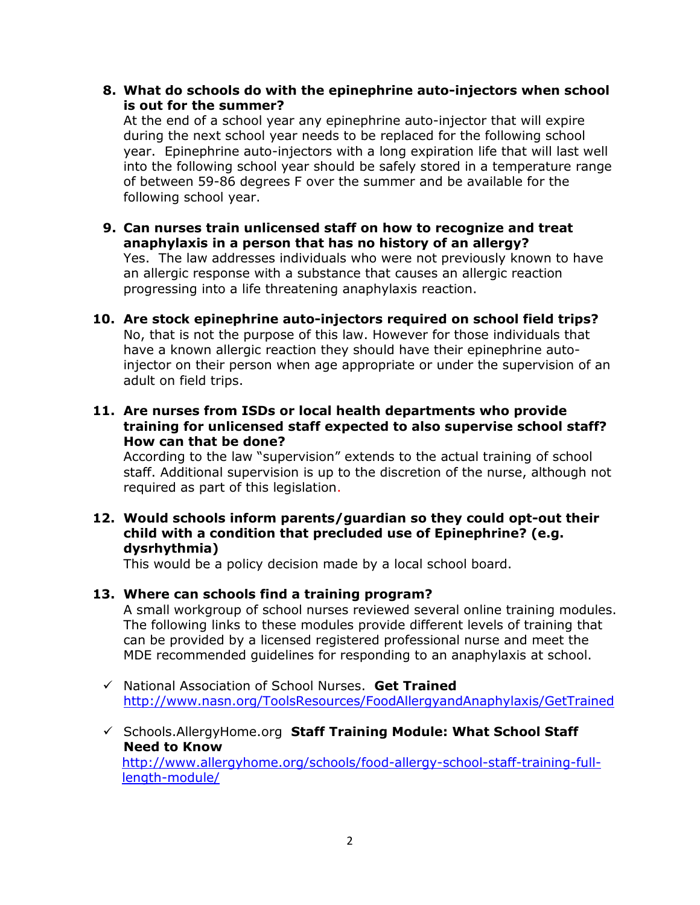**8. What do schools do with the epinephrine auto-injectors when school is out for the summer?** 

At the end of a school year any epinephrine auto-injector that will expire during the next school year needs to be replaced for the following school year. Epinephrine auto-injectors with a long expiration life that will last well into the following school year should be safely stored in a temperature range of between 59-86 degrees F over the summer and be available for the following school year.

- **9. Can nurses train unlicensed staff on how to recognize and treat anaphylaxis in a person that has no history of an allergy?**  Yes. The law addresses individuals who were not previously known to have an allergic response with a substance that causes an allergic reaction progressing into a life threatening anaphylaxis reaction.
- **10. Are stock epinephrine auto-injectors required on school field trips?**  No, that is not the purpose of this law. However for those individuals that have a known allergic reaction they should have their epinephrine autoinjector on their person when age appropriate or under the supervision of an adult on field trips.
- **11. Are nurses from ISDs or local health departments who provide training for unlicensed staff expected to also supervise school staff? How can that be done?**

According to the law "supervision" extends to the actual training of school staff. Additional supervision is up to the discretion of the nurse, although not required as part of this legislation.

**12. Would schools inform parents/guardian so they could opt-out their child with a condition that precluded use of Epinephrine? (e.g. dysrhythmia)** 

This would be a policy decision made by a local school board.

## **13. Where can schools find a training program?**

A small workgroup of school nurses reviewed several online training modules. The following links to these modules provide different levels of training that can be provided by a licensed registered professional nurse and meet the MDE recommended guidelines for responding to an anaphylaxis at school.

- National Association of School Nurses. **Get Trained** <http://www.nasn.org/ToolsResources/FoodAllergyandAnaphylaxis/GetTrained>
- Schools.AllergyHome.org **Staff Training Module: What School Staff Need to Know** [http://www.allergyhome.org/schools/food-allergy-school-staff-training-full](http://www.allergyhome.org/schools/food-allergy-school-staff-training-full-length-module/)[length-module/](http://www.allergyhome.org/schools/food-allergy-school-staff-training-full-length-module/)